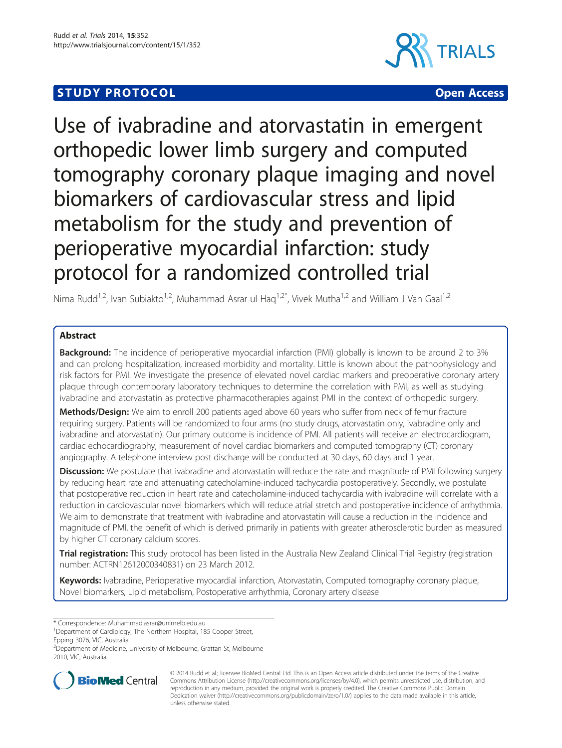# **STUDY PROTOCOL CONSUMING THE CONSUMING OPEN ACCESS**



Use of ivabradine and atorvastatin in emergent orthopedic lower limb surgery and computed tomography coronary plaque imaging and novel biomarkers of cardiovascular stress and lipid metabolism for the study and prevention of perioperative myocardial infarction: study protocol for a randomized controlled trial

Nima Rudd<sup>1,2</sup>, Ivan Subiakto<sup>1,2</sup>, Muhammad Asrar ul Haq<sup>1,2\*</sup>, Vivek Mutha<sup>1,2</sup> and William J Van Gaal<sup>1,2</sup>

# Abstract

Background: The incidence of perioperative myocardial infarction (PMI) globally is known to be around 2 to 3% and can prolong hospitalization, increased morbidity and mortality. Little is known about the pathophysiology and risk factors for PMI. We investigate the presence of elevated novel cardiac markers and preoperative coronary artery plaque through contemporary laboratory techniques to determine the correlation with PMI, as well as studying ivabradine and atorvastatin as protective pharmacotherapies against PMI in the context of orthopedic surgery.

Methods/Design: We aim to enroll 200 patients aged above 60 years who suffer from neck of femur fracture requiring surgery. Patients will be randomized to four arms (no study drugs, atorvastatin only, ivabradine only and ivabradine and atorvastatin). Our primary outcome is incidence of PMI. All patients will receive an electrocardiogram, cardiac echocardiography, measurement of novel cardiac biomarkers and computed tomography (CT) coronary angiography. A telephone interview post discharge will be conducted at 30 days, 60 days and 1 year.

Discussion: We postulate that ivabradine and atorvastatin will reduce the rate and magnitude of PMI following surgery by reducing heart rate and attenuating catecholamine-induced tachycardia postoperatively. Secondly, we postulate that postoperative reduction in heart rate and catecholamine-induced tachycardia with ivabradine will correlate with a reduction in cardiovascular novel biomarkers which will reduce atrial stretch and postoperative incidence of arrhythmia. We aim to demonstrate that treatment with ivabradine and atorvastatin will cause a reduction in the incidence and magnitude of PMI, the benefit of which is derived primarily in patients with greater atherosclerotic burden as measured by higher CT coronary calcium scores.

**Trial registration:** This study protocol has been listed in the Australia New Zealand Clinical Trial Registry (registration number: [ACTRN12612000340831\)](https://www.anzctr.org.au/Trial/Registration/TrialReview.aspx?ACTRN=12612000340831) on 23 March 2012.

Keywords: Ivabradine, Perioperative myocardial infarction, Atorvastatin, Computed tomography coronary plaque, Novel biomarkers, Lipid metabolism, Postoperative arrhythmia, Coronary artery disease

\* Correspondence: [Muhammad.asrar@unimelb.edu.au](mailto:Muhammad.asrar@unimelb.edu.au) <sup>1</sup>

<sup>1</sup>Department of Cardiology, The Northern Hospital, 185 Cooper Street, Epping 3076, VIC, Australia

<sup>2</sup> Department of Medicine, University of Melbourne, Grattan St, Melbourne 2010, VIC, Australia



© 2014 Rudd et al.; licensee BioMed Central Ltd. This is an Open Access article distributed under the terms of the Creative Commons Attribution License [\(http://creativecommons.org/licenses/by/4.0\)](http://creativecommons.org/licenses/by/4.0), which permits unrestricted use, distribution, and reproduction in any medium, provided the original work is properly credited. The Creative Commons Public Domain Dedication waiver [\(http://creativecommons.org/publicdomain/zero/1.0/](http://creativecommons.org/publicdomain/zero/1.0/)) applies to the data made available in this article, unless otherwise stated.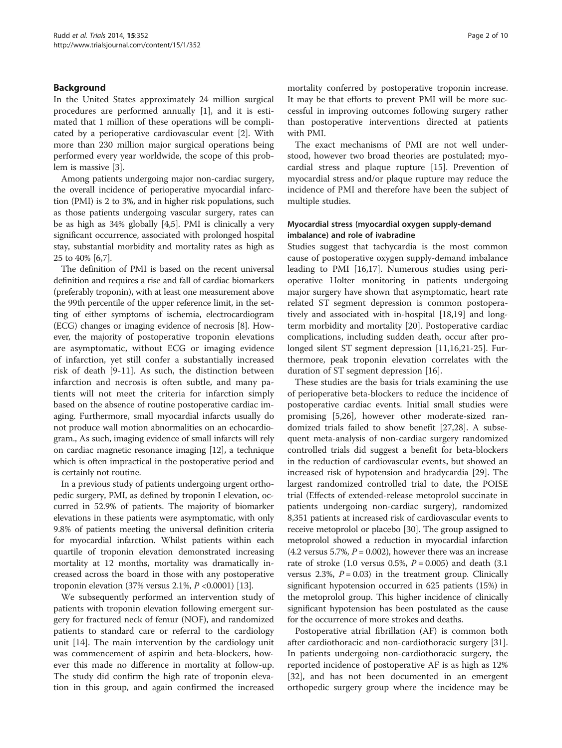# Background

In the United States approximately 24 million surgical procedures are performed annually [\[1](#page-6-0)], and it is estimated that 1 million of these operations will be complicated by a perioperative cardiovascular event [\[2\]](#page-6-0). With more than 230 million major surgical operations being performed every year worldwide, the scope of this problem is massive [[3\]](#page-6-0).

Among patients undergoing major non-cardiac surgery, the overall incidence of perioperative myocardial infarction (PMI) is 2 to 3%, and in higher risk populations, such as those patients undergoing vascular surgery, rates can be as high as 34% globally [\[4,5\]](#page-6-0). PMI is clinically a very significant occurrence, associated with prolonged hospital stay, substantial morbidity and mortality rates as high as 25 to 40% [[6,](#page-6-0)[7\]](#page-7-0).

The definition of PMI is based on the recent universal definition and requires a rise and fall of cardiac biomarkers (preferably troponin), with at least one measurement above the 99th percentile of the upper reference limit, in the setting of either symptoms of ischemia, electrocardiogram (ECG) changes or imaging evidence of necrosis [[8](#page-7-0)]. However, the majority of postoperative troponin elevations are asymptomatic, without ECG or imaging evidence of infarction, yet still confer a substantially increased risk of death [[9-11](#page-7-0)]. As such, the distinction between infarction and necrosis is often subtle, and many patients will not meet the criteria for infarction simply based on the absence of routine postoperative cardiac imaging. Furthermore, small myocardial infarcts usually do not produce wall motion abnormalities on an echocardiogram., As such, imaging evidence of small infarcts will rely on cardiac magnetic resonance imaging [[12](#page-7-0)], a technique which is often impractical in the postoperative period and is certainly not routine.

In a previous study of patients undergoing urgent orthopedic surgery, PMI, as defined by troponin I elevation, occurred in 52.9% of patients. The majority of biomarker elevations in these patients were asymptomatic, with only 9.8% of patients meeting the universal definition criteria for myocardial infarction. Whilst patients within each quartile of troponin elevation demonstrated increasing mortality at 12 months, mortality was dramatically increased across the board in those with any postoperative troponin elevation (37% versus 2.1%,  $P < 0.0001$ ) [[13\]](#page-7-0).

We subsequently performed an intervention study of patients with troponin elevation following emergent surgery for fractured neck of femur (NOF), and randomized patients to standard care or referral to the cardiology unit [\[14](#page-7-0)]. The main intervention by the cardiology unit was commencement of aspirin and beta-blockers, however this made no difference in mortality at follow-up. The study did confirm the high rate of troponin elevation in this group, and again confirmed the increased

mortality conferred by postoperative troponin increase. It may be that efforts to prevent PMI will be more successful in improving outcomes following surgery rather than postoperative interventions directed at patients with PMI.

The exact mechanisms of PMI are not well understood, however two broad theories are postulated; myocardial stress and plaque rupture [[15](#page-7-0)]. Prevention of myocardial stress and/or plaque rupture may reduce the incidence of PMI and therefore have been the subject of multiple studies.

# Myocardial stress (myocardial oxygen supply-demand imbalance) and role of ivabradine

Studies suggest that tachycardia is the most common cause of postoperative oxygen supply-demand imbalance leading to PMI [\[16,17](#page-7-0)]. Numerous studies using perioperative Holter monitoring in patients undergoing major surgery have shown that asymptomatic, heart rate related ST segment depression is common postoperatively and associated with in-hospital [[18](#page-7-0),[19](#page-7-0)] and longterm morbidity and mortality [[20\]](#page-7-0). Postoperative cardiac complications, including sudden death, occur after prolonged silent ST segment depression [[11,16,21-25\]](#page-7-0). Furthermore, peak troponin elevation correlates with the duration of ST segment depression [[16\]](#page-7-0).

These studies are the basis for trials examining the use of perioperative beta-blockers to reduce the incidence of postoperative cardiac events. Initial small studies were promising [\[5](#page-6-0)[,26](#page-7-0)], however other moderate-sized randomized trials failed to show benefit [\[27,28](#page-7-0)]. A subsequent meta-analysis of non-cardiac surgery randomized controlled trials did suggest a benefit for beta-blockers in the reduction of cardiovascular events, but showed an increased risk of hypotension and bradycardia [[29](#page-7-0)]. The largest randomized controlled trial to date, the POISE trial (Effects of extended-release metoprolol succinate in patients undergoing non-cardiac surgery), randomized 8,351 patients at increased risk of cardiovascular events to receive metoprolol or placebo [[30](#page-7-0)]. The group assigned to metoprolol showed a reduction in myocardial infarction  $(4.2 \text{ versus } 5.7\%, P = 0.002)$ , however there was an increase rate of stroke  $(1.0 \text{ versus } 0.5\%, P = 0.005)$  and death  $(3.1 \text{)}$ versus 2.3%,  $P = 0.03$  in the treatment group. Clinically significant hypotension occurred in 625 patients (15%) in the metoprolol group. This higher incidence of clinically significant hypotension has been postulated as the cause for the occurrence of more strokes and deaths.

Postoperative atrial fibrillation (AF) is common both after cardiothoracic and non-cardiothoracic surgery [\[31](#page-7-0)]. In patients undergoing non-cardiothoracic surgery, the reported incidence of postoperative AF is as high as 12% [[32\]](#page-7-0), and has not been documented in an emergent orthopedic surgery group where the incidence may be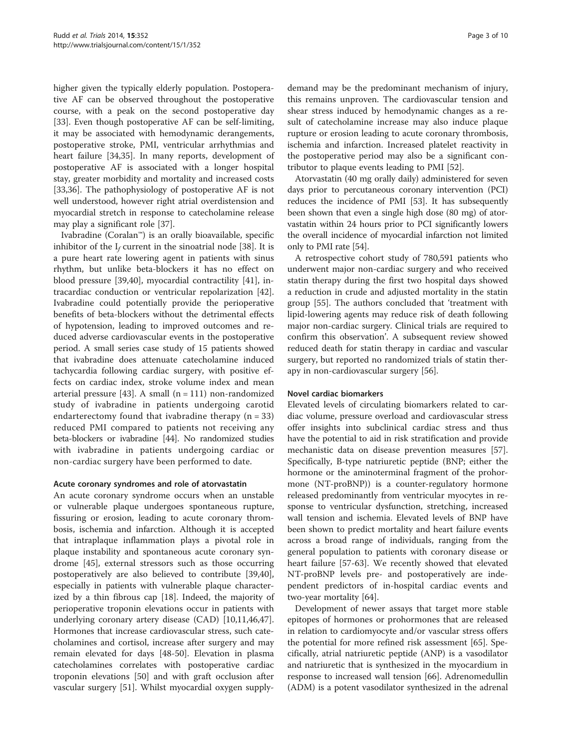higher given the typically elderly population. Postoperative AF can be observed throughout the postoperative course, with a peak on the second postoperative day [[33\]](#page-7-0). Even though postoperative AF can be self-limiting, it may be associated with hemodynamic derangements, postoperative stroke, PMI, ventricular arrhythmias and heart failure [\[34,35\]](#page-7-0). In many reports, development of postoperative AF is associated with a longer hospital stay, greater morbidity and mortality and increased costs [[33,36\]](#page-7-0). The pathophysiology of postoperative AF is not well understood, however right atrial overdistension and myocardial stretch in response to catecholamine release may play a significant role [\[37\]](#page-7-0).

Ivabradine (Coralan™) is an orally bioavailable, specific inhibitor of the  $I_f$  current in the sinoatrial node [[38\]](#page-7-0). It is a pure heart rate lowering agent in patients with sinus rhythm, but unlike beta-blockers it has no effect on blood pressure [[39,40](#page-7-0)], myocardial contractility [\[41\]](#page-7-0), intracardiac conduction or ventricular repolarization [\[42](#page-7-0)]. Ivabradine could potentially provide the perioperative benefits of beta-blockers without the detrimental effects of hypotension, leading to improved outcomes and reduced adverse cardiovascular events in the postoperative period. A small series case study of 15 patients showed that ivabradine does attenuate catecholamine induced tachycardia following cardiac surgery, with positive effects on cardiac index, stroke volume index and mean arterial pressure [[43](#page-8-0)]. A small  $(n = 111)$  non-randomized study of ivabradine in patients undergoing carotid endarterectomy found that ivabradine therapy  $(n = 33)$ reduced PMI compared to patients not receiving any beta-blockers or ivabradine [\[44\]](#page-8-0). No randomized studies with ivabradine in patients undergoing cardiac or non-cardiac surgery have been performed to date.

# Acute coronary syndromes and role of atorvastatin

An acute coronary syndrome occurs when an unstable or vulnerable plaque undergoes spontaneous rupture, fissuring or erosion, leading to acute coronary thrombosis, ischemia and infarction. Although it is accepted that intraplaque inflammation plays a pivotal role in plaque instability and spontaneous acute coronary syndrome [\[45\]](#page-8-0), external stressors such as those occurring postoperatively are also believed to contribute [\[39,40](#page-7-0)], especially in patients with vulnerable plaque characterized by a thin fibrous cap [[18\]](#page-7-0). Indeed, the majority of perioperative troponin elevations occur in patients with underlying coronary artery disease (CAD) [[10,11](#page-7-0)[,46,47](#page-8-0)]. Hormones that increase cardiovascular stress, such catecholamines and cortisol, increase after surgery and may remain elevated for days [\[48-50](#page-8-0)]. Elevation in plasma catecholamines correlates with postoperative cardiac troponin elevations [\[50](#page-8-0)] and with graft occlusion after vascular surgery [\[51\]](#page-8-0). Whilst myocardial oxygen supplydemand may be the predominant mechanism of injury, this remains unproven. The cardiovascular tension and shear stress induced by hemodynamic changes as a result of catecholamine increase may also induce plaque rupture or erosion leading to acute coronary thrombosis, ischemia and infarction. Increased platelet reactivity in the postoperative period may also be a significant contributor to plaque events leading to PMI [[52\]](#page-8-0).

Atorvastatin (40 mg orally daily) administered for seven days prior to percutaneous coronary intervention (PCI) reduces the incidence of PMI [\[53\]](#page-8-0). It has subsequently been shown that even a single high dose (80 mg) of atorvastatin within 24 hours prior to PCI significantly lowers the overall incidence of myocardial infarction not limited only to PMI rate [\[54](#page-8-0)].

A retrospective cohort study of 780,591 patients who underwent major non-cardiac surgery and who received statin therapy during the first two hospital days showed a reduction in crude and adjusted mortality in the statin group [[55\]](#page-8-0). The authors concluded that 'treatment with lipid-lowering agents may reduce risk of death following major non-cardiac surgery. Clinical trials are required to confirm this observation'. A subsequent review showed reduced death for statin therapy in cardiac and vascular surgery, but reported no randomized trials of statin therapy in non-cardiovascular surgery [[56](#page-8-0)].

# Novel cardiac biomarkers

Elevated levels of circulating biomarkers related to cardiac volume, pressure overload and cardiovascular stress offer insights into subclinical cardiac stress and thus have the potential to aid in risk stratification and provide mechanistic data on disease prevention measures [\[57](#page-8-0)]. Specifically, B-type natriuretic peptide (BNP; either the hormone or the aminoterminal fragment of the prohormone (NT-proBNP)) is a counter-regulatory hormone released predominantly from ventricular myocytes in response to ventricular dysfunction, stretching, increased wall tension and ischemia. Elevated levels of BNP have been shown to predict mortality and heart failure events across a broad range of individuals, ranging from the general population to patients with coronary disease or heart failure [[57-63\]](#page-8-0). We recently showed that elevated NT-proBNP levels pre- and postoperatively are independent predictors of in-hospital cardiac events and two-year mortality [[64](#page-8-0)].

Development of newer assays that target more stable epitopes of hormones or prohormones that are released in relation to cardiomyocyte and/or vascular stress offers the potential for more refined risk assessment [[65\]](#page-8-0). Specifically, atrial natriuretic peptide (ANP) is a vasodilator and natriuretic that is synthesized in the myocardium in response to increased wall tension [\[66\]](#page-8-0). Adrenomedullin (ADM) is a potent vasodilator synthesized in the adrenal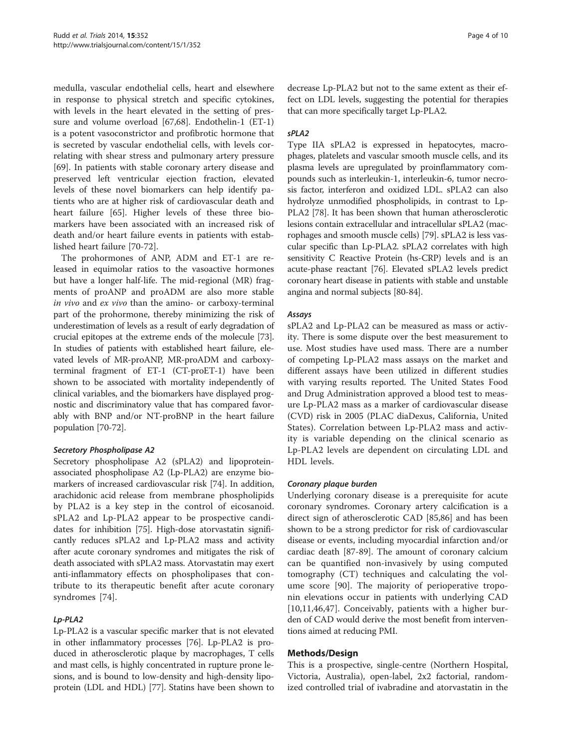medulla, vascular endothelial cells, heart and elsewhere in response to physical stretch and specific cytokines, with levels in the heart elevated in the setting of pressure and volume overload [[67,68\]](#page-8-0). Endothelin-1 (ET-1) is a potent vasoconstrictor and profibrotic hormone that is secreted by vascular endothelial cells, with levels correlating with shear stress and pulmonary artery pressure [[69\]](#page-8-0). In patients with stable coronary artery disease and preserved left ventricular ejection fraction, elevated levels of these novel biomarkers can help identify patients who are at higher risk of cardiovascular death and heart failure [[65](#page-8-0)]. Higher levels of these three biomarkers have been associated with an increased risk of death and/or heart failure events in patients with established heart failure [\[70](#page-8-0)-[72](#page-8-0)].

The prohormones of ANP, ADM and ET-1 are released in equimolar ratios to the vasoactive hormones but have a longer half-life. The mid-regional (MR) fragments of proANP and proADM are also more stable in vivo and ex vivo than the amino- or carboxy-terminal part of the prohormone, thereby minimizing the risk of underestimation of levels as a result of early degradation of crucial epitopes at the extreme ends of the molecule [[73](#page-8-0)]. In studies of patients with established heart failure, elevated levels of MR-proANP, MR-proADM and carboxyterminal fragment of ET-1 (CT-proET-1) have been shown to be associated with mortality independently of clinical variables, and the biomarkers have displayed prognostic and discriminatory value that has compared favorably with BNP and/or NT-proBNP in the heart failure population [[70](#page-8-0)-[72](#page-8-0)].

# Secretory Phospholipase A2

Secretory phospholipase A2 (sPLA2) and lipoproteinassociated phospholipase A2 (Lp-PLA2) are enzyme biomarkers of increased cardiovascular risk [[74](#page-8-0)]. In addition, arachidonic acid release from membrane phospholipids by PLA2 is a key step in the control of eicosanoid. sPLA2 and Lp-PLA2 appear to be prospective candidates for inhibition [[75](#page-8-0)]. High-dose atorvastatin significantly reduces sPLA2 and Lp-PLA2 mass and activity after acute coronary syndromes and mitigates the risk of death associated with sPLA2 mass. Atorvastatin may exert anti-inflammatory effects on phospholipases that contribute to its therapeutic benefit after acute coronary syndromes [[74\]](#page-8-0).

# Lp-PLA2

Lp-PLA2 is a vascular specific marker that is not elevated in other inflammatory processes [\[76](#page-8-0)]. Lp-PLA2 is produced in atherosclerotic plaque by macrophages, T cells and mast cells, is highly concentrated in rupture prone lesions, and is bound to low-density and high-density lipoprotein (LDL and HDL) [\[77\]](#page-8-0). Statins have been shown to

decrease Lp-PLA2 but not to the same extent as their effect on LDL levels, suggesting the potential for therapies that can more specifically target Lp-PLA2.

# sPLA2

Type IIA sPLA2 is expressed in hepatocytes, macrophages, platelets and vascular smooth muscle cells, and its plasma levels are upregulated by proinflammatory compounds such as interleukin-1, interleukin-6, tumor necrosis factor, interferon and oxidized LDL. sPLA2 can also hydrolyze unmodified phospholipids, in contrast to Lp-PLA2 [[78\]](#page-8-0). It has been shown that human atherosclerotic lesions contain extracellular and intracellular sPLA2 (macrophages and smooth muscle cells) [\[79\]](#page-8-0). sPLA2 is less vascular specific than Lp-PLA2. sPLA2 correlates with high sensitivity C Reactive Protein (hs-CRP) levels and is an acute-phase reactant [\[76\]](#page-8-0). Elevated sPLA2 levels predict coronary heart disease in patients with stable and unstable angina and normal subjects [\[80](#page-8-0)[-84\]](#page-9-0).

# Assays

sPLA2 and Lp-PLA2 can be measured as mass or activity. There is some dispute over the best measurement to use. Most studies have used mass. There are a number of competing Lp-PLA2 mass assays on the market and different assays have been utilized in different studies with varying results reported. The United States Food and Drug Administration approved a blood test to measure Lp-PLA2 mass as a marker of cardiovascular disease (CVD) risk in 2005 (PLAC diaDexus, California, United States). Correlation between Lp-PLA2 mass and activity is variable depending on the clinical scenario as Lp-PLA2 levels are dependent on circulating LDL and HDL levels.

# Coronary plaque burden

Underlying coronary disease is a prerequisite for acute coronary syndromes. Coronary artery calcification is a direct sign of atherosclerotic CAD [[85,86\]](#page-9-0) and has been shown to be a strong predictor for risk of cardiovascular disease or events, including myocardial infarction and/or cardiac death [\[87-89](#page-9-0)]. The amount of coronary calcium can be quantified non-invasively by using computed tomography (CT) techniques and calculating the volume score [[90\]](#page-9-0). The majority of perioperative troponin elevations occur in patients with underlying CAD [[10,11](#page-7-0)[,46](#page-8-0),[47\]](#page-8-0). Conceivably, patients with a higher burden of CAD would derive the most benefit from interventions aimed at reducing PMI.

# Methods/Design

This is a prospective, single-centre (Northern Hospital, Victoria, Australia), open-label, 2x2 factorial, randomized controlled trial of ivabradine and atorvastatin in the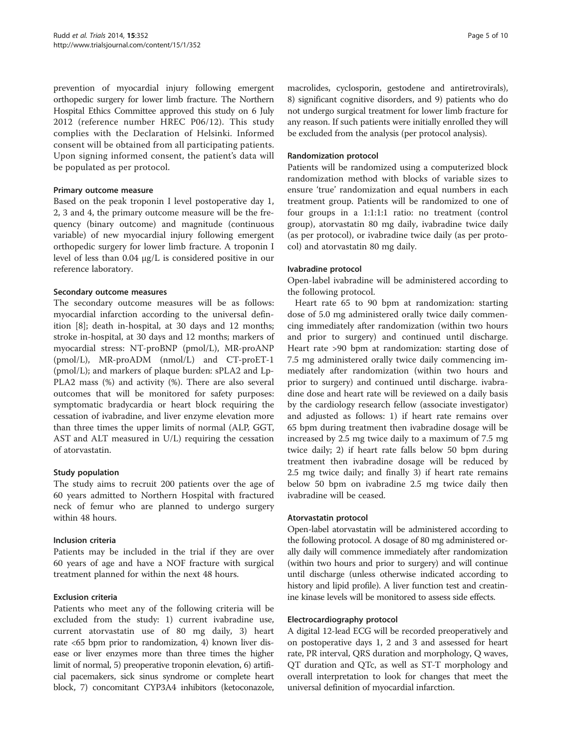prevention of myocardial injury following emergent orthopedic surgery for lower limb fracture. The Northern Hospital Ethics Committee approved this study on 6 July 2012 (reference number HREC P06/12). This study complies with the Declaration of Helsinki. Informed consent will be obtained from all participating patients. Upon signing informed consent, the patient's data will be populated as per protocol.

# Primary outcome measure

Based on the peak troponin I level postoperative day 1, 2, 3 and 4, the primary outcome measure will be the frequency (binary outcome) and magnitude (continuous variable) of new myocardial injury following emergent orthopedic surgery for lower limb fracture. A troponin I level of less than 0.04 μg/L is considered positive in our reference laboratory.

## Secondary outcome measures

The secondary outcome measures will be as follows: myocardial infarction according to the universal definition [\[8](#page-7-0)]; death in-hospital, at 30 days and 12 months; stroke in-hospital, at 30 days and 12 months; markers of myocardial stress: NT-proBNP (pmol/L), MR-proANP (pmol/L), MR-proADM (nmol/L) and CT-proET-1 (pmol/L); and markers of plaque burden: sPLA2 and Lp-PLA2 mass (%) and activity (%). There are also several outcomes that will be monitored for safety purposes: symptomatic bradycardia or heart block requiring the cessation of ivabradine, and liver enzyme elevation more than three times the upper limits of normal (ALP, GGT, AST and ALT measured in U/L) requiring the cessation of atorvastatin.

# Study population

The study aims to recruit 200 patients over the age of 60 years admitted to Northern Hospital with fractured neck of femur who are planned to undergo surgery within 48 hours.

#### Inclusion criteria

Patients may be included in the trial if they are over 60 years of age and have a NOF fracture with surgical treatment planned for within the next 48 hours.

# Exclusion criteria

Patients who meet any of the following criteria will be excluded from the study: 1) current ivabradine use, current atorvastatin use of 80 mg daily, 3) heart rate <65 bpm prior to randomization, 4) known liver disease or liver enzymes more than three times the higher limit of normal, 5) preoperative troponin elevation, 6) artificial pacemakers, sick sinus syndrome or complete heart block, 7) concomitant CYP3A4 inhibitors (ketoconazole, macrolides, cyclosporin, gestodene and antiretrovirals), 8) significant cognitive disorders, and 9) patients who do not undergo surgical treatment for lower limb fracture for any reason. If such patients were initially enrolled they will be excluded from the analysis (per protocol analysis).

## Randomization protocol

Patients will be randomized using a computerized block randomization method with blocks of variable sizes to ensure 'true' randomization and equal numbers in each treatment group. Patients will be randomized to one of four groups in a 1:1:1:1 ratio: no treatment (control group), atorvastatin 80 mg daily, ivabradine twice daily (as per protocol), or ivabradine twice daily (as per protocol) and atorvastatin 80 mg daily.

#### Ivabradine protocol

Open-label ivabradine will be administered according to the following protocol.

Heart rate 65 to 90 bpm at randomization: starting dose of 5.0 mg administered orally twice daily commencing immediately after randomization (within two hours and prior to surgery) and continued until discharge. Heart rate >90 bpm at randomization: starting dose of 7.5 mg administered orally twice daily commencing immediately after randomization (within two hours and prior to surgery) and continued until discharge. ivabradine dose and heart rate will be reviewed on a daily basis by the cardiology research fellow (associate investigator) and adjusted as follows: 1) if heart rate remains over 65 bpm during treatment then ivabradine dosage will be increased by 2.5 mg twice daily to a maximum of 7.5 mg twice daily; 2) if heart rate falls below 50 bpm during treatment then ivabradine dosage will be reduced by 2.5 mg twice daily; and finally 3) if heart rate remains below 50 bpm on ivabradine 2.5 mg twice daily then ivabradine will be ceased.

#### Atorvastatin protocol

Open-label atorvastatin will be administered according to the following protocol. A dosage of 80 mg administered orally daily will commence immediately after randomization (within two hours and prior to surgery) and will continue until discharge (unless otherwise indicated according to history and lipid profile). A liver function test and creatinine kinase levels will be monitored to assess side effects.

#### Electrocardiography protocol

A digital 12-lead ECG will be recorded preoperatively and on postoperative days 1, 2 and 3 and assessed for heart rate, PR interval, QRS duration and morphology, Q waves, QT duration and QTc, as well as ST-T morphology and overall interpretation to look for changes that meet the universal definition of myocardial infarction.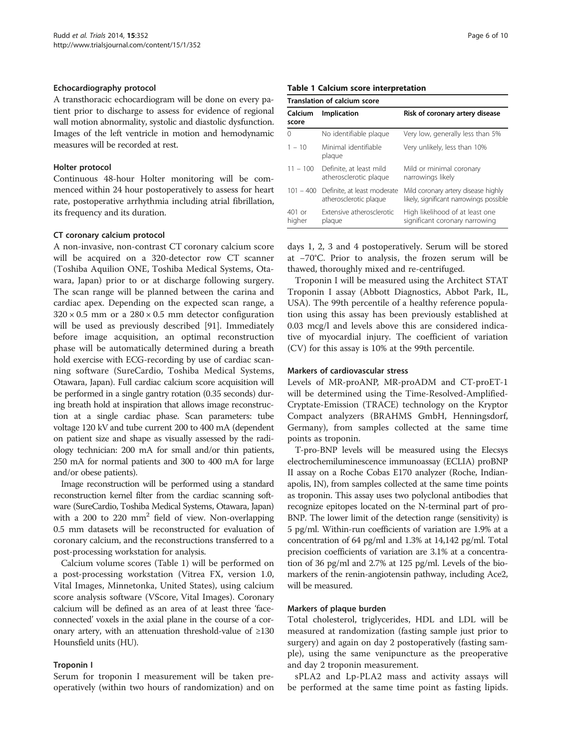#### Echocardiography protocol

A transthoracic echocardiogram will be done on every patient prior to discharge to assess for evidence of regional wall motion abnormality, systolic and diastolic dysfunction. Images of the left ventricle in motion and hemodynamic measures will be recorded at rest.

#### Holter protocol

Continuous 48-hour Holter monitoring will be commenced within 24 hour postoperatively to assess for heart rate, postoperative arrhythmia including atrial fibrillation, its frequency and its duration.

#### CT coronary calcium protocol

A non-invasive, non-contrast CT coronary calcium score will be acquired on a 320-detector row CT scanner (Toshiba Aquilion ONE, Toshiba Medical Systems, Otawara, Japan) prior to or at discharge following surgery. The scan range will be planned between the carina and cardiac apex. Depending on the expected scan range, a  $320 \times 0.5$  mm or a  $280 \times 0.5$  mm detector configuration will be used as previously described [[91\]](#page-9-0). Immediately before image acquisition, an optimal reconstruction phase will be automatically determined during a breath hold exercise with ECG-recording by use of cardiac scanning software (SureCardio, Toshiba Medical Systems, Otawara, Japan). Full cardiac calcium score acquisition will be performed in a single gantry rotation (0.35 seconds) during breath hold at inspiration that allows image reconstruction at a single cardiac phase. Scan parameters: tube voltage 120 kV and tube current 200 to 400 mA (dependent on patient size and shape as visually assessed by the radiology technician: 200 mA for small and/or thin patients, 250 mA for normal patients and 300 to 400 mA for large and/or obese patients).

Image reconstruction will be performed using a standard reconstruction kernel filter from the cardiac scanning software (SureCardio, Toshiba Medical Systems, Otawara, Japan) with a 200 to 220  $mm<sup>2</sup>$  field of view. Non-overlapping 0.5 mm datasets will be reconstructed for evaluation of coronary calcium, and the reconstructions transferred to a post-processing workstation for analysis.

Calcium volume scores (Table 1) will be performed on a post-processing workstation (Vitrea FX, version 1.0, Vital Images, Minnetonka, United States), using calcium score analysis software (VScore, Vital Images). Coronary calcium will be defined as an area of at least three 'faceconnected' voxels in the axial plane in the course of a coronary artery, with an attenuation threshold-value of ≥130 Hounsfield units (HU).

#### Troponin I

Serum for troponin I measurement will be taken preoperatively (within two hours of randomization) and on

| Translation of calcium score |                                                                 |                                                                                |
|------------------------------|-----------------------------------------------------------------|--------------------------------------------------------------------------------|
| Calcium<br>score             | Implication                                                     | Risk of coronary artery disease                                                |
| 0                            | No identifiable plague                                          | Very low, generally less than 5%                                               |
| $1 - 10$                     | Minimal identifiable<br>plaque                                  | Very unlikely, less than 10%                                                   |
| $11 - 100$                   | Definite, at least mild<br>atherosclerotic plaque               | Mild or minimal coronary<br>narrowings likely                                  |
|                              | 101 - 400 Definite, at least moderate<br>atherosclerotic plaque | Mild coronary artery disease highly<br>likely, significant narrowings possible |
| $401$ or<br>higher           | Extensive atherosclerotic<br>plaque                             | High likelihood of at least one<br>significant coronary narrowing              |

days 1, 2, 3 and 4 postoperatively. Serum will be stored at −70°C. Prior to analysis, the frozen serum will be thawed, thoroughly mixed and re-centrifuged.

Troponin I will be measured using the Architect STAT Troponin I assay (Abbott Diagnostics, Abbot Park, IL, USA). The 99th percentile of a healthy reference population using this assay has been previously established at 0.03 mcg/l and levels above this are considered indicative of myocardial injury. The coefficient of variation (CV) for this assay is 10% at the 99th percentile.

#### Markers of cardiovascular stress

Levels of MR-proANP, MR-proADM and CT-proET-1 will be determined using the Time-Resolved-Amplified-Cryptate-Emission (TRACE) technology on the Kryptor Compact analyzers (BRAHMS GmbH, Henningsdorf, Germany), from samples collected at the same time points as troponin.

T-pro-BNP levels will be measured using the Elecsys electrochemiluminescence immunoassay (ECLIA) proBNP II assay on a Roche Cobas E170 analyzer (Roche, Indianapolis, IN), from samples collected at the same time points as troponin. This assay uses two polyclonal antibodies that recognize epitopes located on the N-terminal part of pro-BNP. The lower limit of the detection range (sensitivity) is 5 pg/ml. Within-run coefficients of variation are 1.9% at a concentration of 64 pg/ml and 1.3% at 14,142 pg/ml. Total precision coefficients of variation are 3.1% at a concentration of 36 pg/ml and 2.7% at 125 pg/ml. Levels of the biomarkers of the renin-angiotensin pathway, including Ace2, will be measured.

# Markers of plaque burden

Total cholesterol, triglycerides, HDL and LDL will be measured at randomization (fasting sample just prior to surgery) and again on day 2 postoperatively (fasting sample), using the same venipuncture as the preoperative and day 2 troponin measurement.

sPLA2 and Lp-PLA2 mass and activity assays will be performed at the same time point as fasting lipids.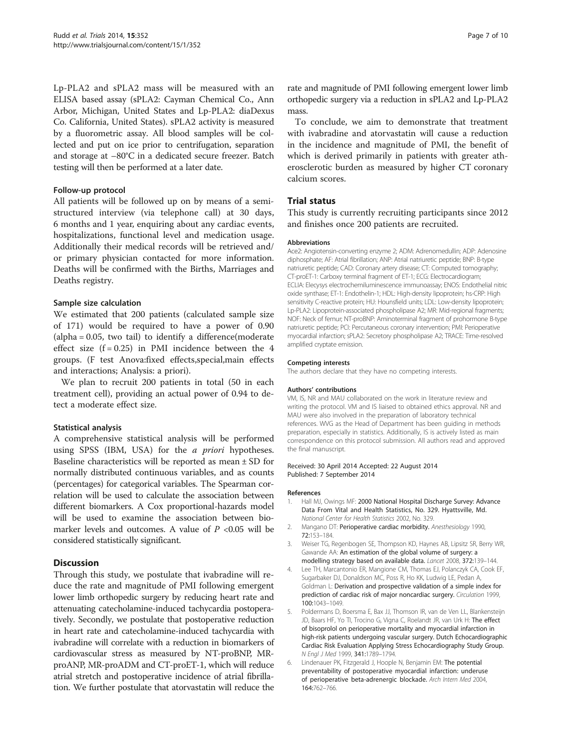<span id="page-6-0"></span>Lp-PLA2 and sPLA2 mass will be measured with an ELISA based assay (sPLA2: Cayman Chemical Co., Ann Arbor, Michigan, United States and Lp-PLA2: diaDexus Co. California, United States). sPLA2 activity is measured by a fluorometric assay. All blood samples will be collected and put on ice prior to centrifugation, separation and storage at –80°C in a dedicated secure freezer. Batch testing will then be performed at a later date.

## Follow-up protocol

All patients will be followed up on by means of a semistructured interview (via telephone call) at 30 days, 6 months and 1 year, enquiring about any cardiac events, hospitalizations, functional level and medication usage. Additionally their medical records will be retrieved and/ or primary physician contacted for more information. Deaths will be confirmed with the Births, Marriages and Deaths registry.

## Sample size calculation

We estimated that 200 patients (calculated sample size of 171) would be required to have a power of 0.90 (alpha = 0.05, two tail) to identify a difference(moderate effect size  $(f = 0.25)$  in PMI incidence between the 4 groups. (F test Anova:fixed effects,special,main effects and interactions; Analysis: a priori).

We plan to recruit 200 patients in total (50 in each treatment cell), providing an actual power of 0.94 to detect a moderate effect size.

# Statistical analysis

A comprehensive statistical analysis will be performed using SPSS (IBM, USA) for the a priori hypotheses. Baseline characteristics will be reported as mean ± SD for normally distributed continuous variables, and as counts (percentages) for categorical variables. The Spearman correlation will be used to calculate the association between different biomarkers. A Cox proportional-hazards model will be used to examine the association between biomarker levels and outcomes. A value of  $P < 0.05$  will be considered statistically significant.

# **Discussion**

Through this study, we postulate that ivabradine will reduce the rate and magnitude of PMI following emergent lower limb orthopedic surgery by reducing heart rate and attenuating catecholamine-induced tachycardia postoperatively. Secondly, we postulate that postoperative reduction in heart rate and catecholamine-induced tachycardia with ivabradine will correlate with a reduction in biomarkers of cardiovascular stress as measured by NT-proBNP, MRproANP, MR-proADM and CT-proET-1, which will reduce atrial stretch and postoperative incidence of atrial fibrillation. We further postulate that atorvastatin will reduce the rate and magnitude of PMI following emergent lower limb orthopedic surgery via a reduction in sPLA2 and Lp-PLA2 mass.

To conclude, we aim to demonstrate that treatment with ivabradine and atorvastatin will cause a reduction in the incidence and magnitude of PMI, the benefit of which is derived primarily in patients with greater atherosclerotic burden as measured by higher CT coronary calcium scores.

# Trial status

This study is currently recruiting participants since 2012 and finishes once 200 patients are recruited.

#### Abbreviations

Ace2: Angiotensin-converting enzyme 2; ADM: Adrenomedullin; ADP: Adenosine diphosphate; AF: Atrial fibrillation; ANP: Atrial natriuretic peptide; BNP: B-type natriuretic peptide; CAD: Coronary artery disease; CT: Computed tomography; CT-proET-1: Carboxy terminal fragment of ET-1; ECG: Electrocardiogram; ECLIA: Elecysys electrochemiluminescence immunoassay; ENOS: Endothelial nitric oxide synthase; ET-1: Endothelin-1; HDL: High-density lipoprotein; hs-CRP: High sensitivity C-reactive protein; HU: Hounsfield units; LDL: Low-density lipoprotein; Lp-PLA2: Lipoprotein-associated phospholipase A2; MR: Mid-regional fragments; NOF: Neck of femur; NT-proBNP: Aminoterminal fragment of prohormone B-type natriuretic peptide; PCI: Percutaneous coronary intervention; PMI: Perioperative myocardial infarction; sPLA2: Secretory phospholipase A2; TRACE: Time-resolved amplified cryptate emission.

#### Competing interests

The authors declare that they have no competing interests.

#### Authors' contributions

VM, IS, NR and MAU collaborated on the work in literature review and writing the protocol. VM and IS liaised to obtained ethics approval. NR and MAU were also involved in the preparation of laboratory technical references. WVG as the Head of Department has been guiding in methods preparation, especially in statistics. Additionally, IS is actively listed as main correspondence on this protocol submission. All authors read and approved the final manuscript.

#### Received: 30 April 2014 Accepted: 22 August 2014 Published: 7 September 2014

#### References

- 1. Hall MJ, Owings MF: 2000 National Hospital Discharge Survey: Advance Data From Vital and Health Statistics, No. 329. Hyattsville, Md. National Center for Health Statistics 2002, No. 329.
- 2. Mangano DT: Perioperative cardiac morbidity. Anesthesiology 1990, 72:153–184.
- 3. Weiser TG, Regenbogen SE, Thompson KD, Haynes AB, Lipsitz SR, Berry WR, Gawande AA: An estimation of the global volume of surgery: a modelling strategy based on available data. Lancet 2008, 372:139–144.
- 4. Lee TH, Marcantonio ER, Mangione CM, Thomas EJ, Polanczyk CA, Cook EF, Sugarbaker DJ, Donaldson MC, Poss R, Ho KK, Ludwig LE, Pedan A, Goldman L: Derivation and prospective validation of a simple index for prediction of cardiac risk of major noncardiac surgery. Circulation 1999, 100:1043–1049.
- 5. Poldermans D, Boersma E, Bax JJ, Thomson IR, van de Ven LL, Blankensteijn JD, Baars HF, Yo TI, Trocino G, Vigna C, Roelandt JR, van Urk H: The effect of bisoprolol on perioperative mortality and myocardial infarction in high-risk patients undergoing vascular surgery. Dutch Echocardiographic Cardiac Risk Evaluation Applying Stress Echocardiography Study Group. N Engl J Med 1999, 341:1789–1794.
- 6. Lindenauer PK, Fitzgerald J, Hoople N, Benjamin EM: The potential preventability of postoperative myocardial infarction: underuse of perioperative beta-adrenergic blockade. Arch Intern Med 2004, 164:762–766.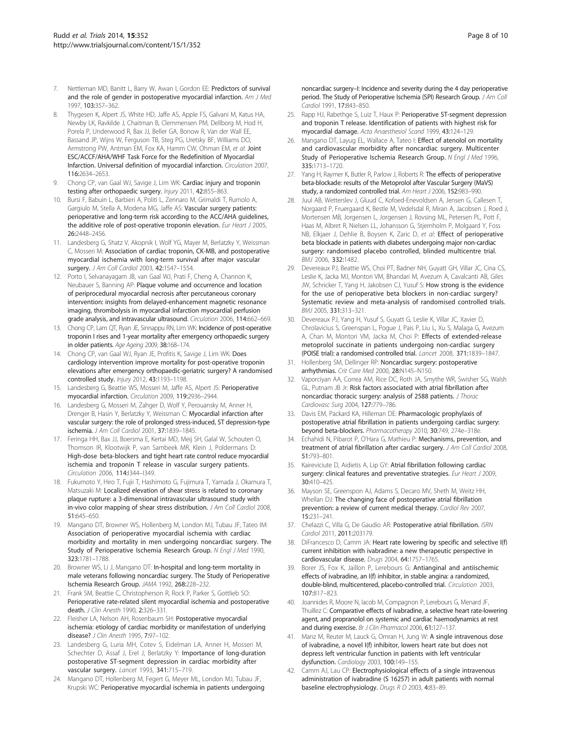- <span id="page-7-0"></span>7. Nettleman MD, Banitt L, Barry W, Awan I, Gordon EE: Predictors of survival and the role of gender in postoperative myocardial infarction. Am J Med 1997, 103:357–362.
- Thygesen K, Alpert JS, White HD, Jaffe AS, Apple FS, Galvani M, Katus HA, Newby LK, Ravkilde J, Chaitman B, Clemmensen PM, Dellborg M, Hod H, Porela P, Underwood R, Bax JJ, Beller GA, Bonow R, Van der Wall EE, Bassand JP, Wijns W, Ferguson TB, Steg PG, Uretsky BF, Williams DO, Armstrong PW, Antman EM, Fox KA, Hamm CW, Ohman EM, et al: Joint ESC/ACCF/AHA/WHF Task Force for the Redefinition of Myocardial Infarction. Universal definition of myocardial infarction. Circulation 2007, 116:2634–2653.
- Chong CP, van Gaal WJ, Savige J, Lim WK: Cardiac injury and troponin testing after orthopaedic surgery. Injury 2011, 42:855-863.
- 10. Bursi F, Babuin L, Barbieri A, Politi L, Zennaro M, Grimaldi T, Rumolo A, Gargiulo M, Stella A, Modena MG, Jaffe AS: Vascular surgery patients: perioperative and long-term risk according to the ACC/AHA guidelines, the additive role of post-operative troponin elevation. Eur Heart J 2005, 26:2448–2456.
- 11. Landesberg G, Shatz V, Akopnik I, Wolf YG, Mayer M, Berlatzky Y, Weissman C, Mosseri M: Association of cardiac troponin, CK-MB, and postoperative myocardial ischemia with long-term survival after major vascular surgery. J Am Coll Cardiol 2003, 42:1547–1554.
- 12. Porto I, Selvanayagam JB, van Gaal WJ, Prati F, Cheng A, Channon K, Neubauer S, Banning AP: Plaque volume and occurrence and location of periprocedural myocardial necrosis after percutaneous coronary intervention: insights from delayed-enhancement magnetic resonance imaging, thrombolysis in myocardial infarction myocardial perfusion grade analysis, and intravascular ultrasound. Circulation 2006, 114:662–669.
- 13. Chong CP, Lam QT, Ryan JE, Sinnappu RN, Lim WK: Incidence of post-operative troponin I rises and 1-year mortality after emergency orthopaedic surgery in older patients. Age Ageing 2009, 38:168–174.
- 14. Chong CP, van Gaal WJ, Ryan JE, Profitis K, Savige J, Lim WK: Does cardiology intervention improve mortality for post-operative troponin elevations after emergency orthopaedic-geriatric surgery? A randomised controlled study. Injury 2012, 43:1193–1198.
- 15. Landesberg G, Beattie WS, Mosseri M, Jaffe AS, Alpert JS: Perioperative myocardial infarction. Circulation 2009, 119:2936–2944.
- 16. Landesberg G, Mosseri M, Zahger D, Wolf Y, Perouansky M, Anner H, Drenger B, Hasin Y, Berlatzky Y, Weissman C: Myocardial infarction after vascular surgery: the role of prolonged stress-induced, ST depression-type ischemia. J Am Coll Cardiol 2001, 37:1839–1845.
- 17. Feringa HH, Bax JJ, Boersma E, Kertai MD, Meij SH, Galal W, Schouten O, Thomson IR, Klootwijk P, van Sambeek MR, Klein J, Poldermans D: High-dose beta-blockers and tight heart rate control reduce myocardial ischemia and troponin T release in vascular surgery patients. Circulation 2006, 114:I344–I349.
- 18. Fukumoto Y, Hiro T, Fujii T, Hashimoto G, Fujimura T, Yamada J, Okamura T, Matsuzaki M: Localized elevation of shear stress is related to coronary plaque rupture: a 3-dimensional intravascular ultrasound study with in-vivo color mapping of shear stress distribution. J Am Coll Cardiol 2008, 51:645–650.
- 19. Mangano DT, Browner WS, Hollenberg M, London MJ, Tubau JF, Tateo IM: Association of perioperative myocardial ischemia with cardiac morbidity and mortality in men undergoing noncardiac surgery. The Study of Perioperative Ischemia Research Group. N Engl J Med 1990, 323:1781–1788.
- 20. Browner WS, Li J, Mangano DT: In-hospital and long-term mortality in male veterans following noncardiac surgery. The Study of Perioperative Ischemia Research Group. JAMA 1992, 268:228–232.
- 21. Frank SM, Beattie C, Christopherson R, Rock P, Parker S, Gottlieb SO: Perioperative rate-related silent myocardial ischemia and postoperative death. J Clin Anesth 1990, 2:326–331.
- 22. Fleisher LA, Nelson AH, Rosenbaum SH: Postoperative myocardial ischemia: etiology of cardiac morbidity or manifestation of underlying disease? J Clin Anesth 1995, 7:97–102.
- 23. Landesberg G, Luria MH, Cotev S, Eidelman LA, Anner H, Mosseri M, Schechter D, Assaf J, Erel J, Berlatzky Y: Importance of long-duration postoperative ST-segment depression in cardiac morbidity after vascular surgery. Lancet 1993, 341:715-719.
- 24. Mangano DT, Hollenberg M, Fegert G, Meyer ML, London MJ, Tubau JF, Krupski WC: Perioperative myocardial ischemia in patients undergoing

noncardiac surgery–I: Incidence and severity during the 4 day perioperative period. The Study of Perioperative Ischemia (SPI) Research Group. J Am Coll Cardiol 1991, 17:843–850.

- 25. Rapp HJ, Rabethge S, Luiz T, Haux P: Perioperative ST-segment depression and troponin T release. Identification of patients with highest risk for myocardial damage. Acta Anaesthesiol Scand 1999, 43:124–129.
- 26. Mangano DT, Layug EL, Wallace A, Tateo I: Effect of atenolol on mortality and cardiovascular morbidity after noncardiac surgery. Multicenter Study of Perioperative Ischemia Research Group. N Engl J Med 1996, 335:1713–1720.
- 27. Yang H, Raymer K, Butler R, Parlow J, Roberts R: The effects of perioperative beta-blockade: results of the Metoprolol after Vascular Surgery (MaVS) study, a randomized controlled trial. Am Heart J 2006, 152:983–990.
- 28. Juul AB, Wetterslev J, Gluud C, Kofoed-Enevoldsen A, Jensen G, Callesen T, Norgaard P, Fruergaard K, Bestle M, Vedelsdal R, Miran A, Jacobsen J, Roed J, Mortensen MB, Jorgensen L, Jorgensen J, Rovsing ML, Petersen PL, Pott F, Haas M, Albret R, Nielsen LL, Johansson G, Stjernholm P, Molgaard Y, Foss NB, Elkjaer J, Dehlie B, Boysen K, Zaric D, et al: Effect of perioperative beta blockade in patients with diabetes undergoing major non-cardiac surgery: randomised placebo controlled, blinded multicentre trial. BMJ 2006, 332:1482.
- 29. Devereaux PJ, Beattie WS, Choi PT, Badner NH, Guyatt GH, Villar JC, Cina CS, Leslie K, Jacka MJ, Montori VM, Bhandari M, Avezum A, Cavalcanti AB, Giles JW, Schricker T, Yang H, Jakobsen CJ, Yusuf S: How strong is the evidence for the use of perioperative beta blockers in non-cardiac surgery? Systematic review and meta-analysis of randomised controlled trials. BMJ 2005, 331:313–321.
- 30. Devereaux PJ, Yang H, Yusuf S, Guyatt G, Leslie K, Villar JC, Xavier D, Chrolavicius S, Greenspan L, Pogue J, Pais P, Liu L, Xu S, Malaga G, Avezum A, Chan M, Montori VM, Jacka M, Choi P: Effects of extended-release metoprolol succinate in patients undergoing non-cardiac surgery (POISE trial): a randomised controlled trial. Lancet 2008, 371:1839–1847.
- 31. Hollenberg SM, Dellinger RP: Noncardiac surgery: postoperative arrhythmias. Crit Care Med 2000, 28:N145–N150.
- 32. Vaporciyan AA, Correa AM, Rice DC, Roth JA, Smythe WR, Swisher SG, Walsh GL, Putnam JB Jr: Risk factors associated with atrial fibrillation after noncardiac thoracic surgery: analysis of 2588 patients. J Thorac Cardiovasc Surg 2004, 127:779–786.
- 33. Davis EM, Packard KA, Hilleman DE: Pharmacologic prophylaxis of postoperative atrial fibrillation in patients undergoing cardiac surgery: beyond beta-blockers. Pharmacotherapy 2010, 30:749, 274e-318e.
- 34. Echahidi N, Pibarot P, O'Hara G, Mathieu P: Mechanisms, prevention, and treatment of atrial fibrillation after cardiac surgery. J Am Coll Cardiol 2008, 51:793–801.
- 35. Kaireviciute D, Aidietis A, Lip GY: Atrial fibrillation following cardiac surgery: clinical features and preventative strategies. Eur Heart J 2009, 30:410–425.
- 36. Mayson SE, Greenspon AJ, Adams S, Decaro MV, Sheth M, Weitz HH, Whellan DJ: The changing face of postoperative atrial fibrillation prevention: a review of current medical therapy. Cardiol Rev 2007, 15:231–241.
- 37. Chelazzi C, Villa G, De Gaudio AR: Postoperative atrial fibrillation. ISRN Cardiol 2011, 2011:203179.
- 38. DiFrancesco D, Camm JA: Heart rate lowering by specific and selective I(f) current inhibition with ivabradine: a new therapeutic perspective in cardiovascular disease. Drugs 2004, 64:1757–1765.
- 39. Borer JS, Fox K, Jaillon P, Lerebours G: Antianginal and antiischemic effects of ivabradine, an I(f) inhibitor, in stable angina: a randomized, double-blind, multicentered, placebo-controlled trial. Circulation 2003, 107:817–823.
- 40. Joannides R, Moore N, Iacob M, Compagnon P, Lerebours G, Menard JF, Thuillez C: Comparative effects of ivabradine, a selective heart rate-lowering agent, and propranolol on systemic and cardiac haemodynamics at rest and during exercise. Br J Clin Pharmacol 2006, 61:127-137.
- 41. Manz M, Reuter M, Lauck G, Omran H, Jung W: A single intravenous dose of ivabradine, a novel I(f) inhibitor, lowers heart rate but does not depress left ventricular function in patients with left ventricular dysfunction. Cardiology 2003, 100:149–155.
- 42. Camm AJ, Lau CP: Electrophysiological effects of a single intravenous administration of ivabradine (S 16257) in adult patients with normal baseline electrophysiology. Drugs R D 2003, 4:83-89.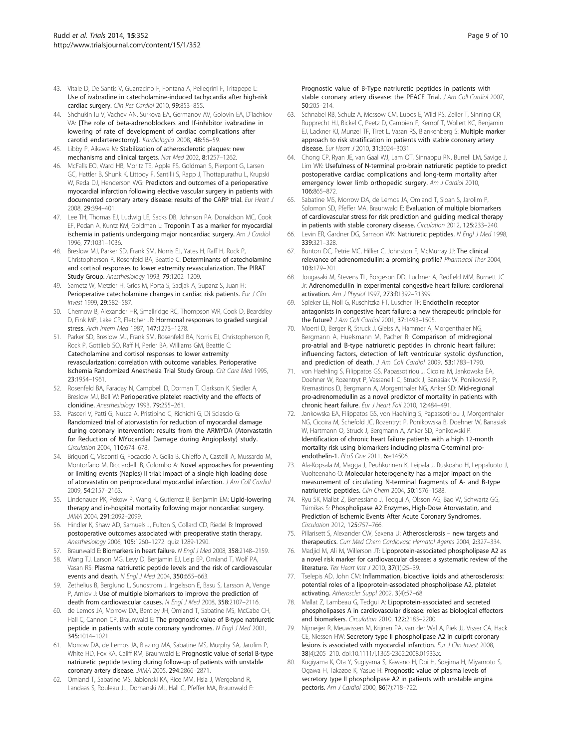- <span id="page-8-0"></span>43. Vitale D, De Santis V, Guarracino F, Fontana A, Pellegrini F, Tritapepe L: Use of ivabradine in catecholamine-induced tachycardia after high-risk cardiac surgery. Clin Res Cardiol 2010, 99:853–855.
- 44. Shchukin Iu V, Vachev AN, Surkova EA, Germanov AV, Golovin EA, D'Iachkov VA: [The role of beta-adrenoblockers and If-inhibitor ivabradine in lowering of rate of development of cardiac complications after carotid endarterectomy]. Kardiologiia 2008, 48:56–59.
- 45. Libby P, Aikawa M: Stabilization of atherosclerotic plaques: new mechanisms and clinical targets. Nat Med 2002, 8:1257–1262.
- 46. McFalls EO, Ward HB, Moritz TE, Apple FS, Goldman S, Pierpont G, Larsen GC, Hattler B, Shunk K, Littooy F, Santilli S, Rapp J, Thottapurathu L, Krupski W. Reda DJ, Henderson WG: Predictors and outcomes of a perioperative myocardial infarction following elective vascular surgery in patients with documented coronary artery disease: results of the CARP trial. Eur Heart J 2008, 29:394–401.
- 47. Lee TH, Thomas EJ, Ludwig LE, Sacks DB, Johnson PA, Donaldson MC, Cook EF, Pedan A, Kuntz KM, Goldman L: Troponin T as a marker for myocardial ischemia in patients undergoing major noncardiac surgery. Am J Cardiol 1996, 77:1031–1036.
- 48. Breslow MJ, Parker SD, Frank SM, Norris EJ, Yates H, Raff H, Rock P, Christopherson R, Rosenfeld BA, Beattie C: Determinants of catecholamine and cortisol responses to lower extremity revascularization. The PIRAT Study Group. Anesthesiology 1993, 79:1202–1209.
- 49. Sametz W, Metzler H, Gries M, Porta S, Sadjak A, Supanz S, Juan H: Perioperative catecholamine changes in cardiac risk patients. Eur J Clin Invest 1999, 29:582–587.
- 50. Chernow B, Alexander HR, Smallridge RC, Thompson WR, Cook D, Beardsley D, Fink MP, Lake CR, Fletcher JR: Hormonal responses to graded surgical stress. Arch Intern Med 1987, 147:1273–1278.
- 51. Parker SD, Breslow MJ, Frank SM, Rosenfeld BA, Norris EJ, Christopherson R, Rock P, Gottlieb SO, Raff H, Perler BA, Williams GM, Beattie C: Catecholamine and cortisol responses to lower extremity revascularization: correlation with outcome variables. Perioperative Ischemia Randomized Anesthesia Trial Study Group. Crit Care Med 1995, 23:1954–1961.
- 52. Rosenfeld BA, Faraday N, Campbell D, Dorman T, Clarkson K, Siedler A, Breslow MJ, Bell W: Perioperative platelet reactivity and the effects of clonidine. Anesthesiology 1993, 79:255–261.
- 53. Pasceri V, Patti G, Nusca A, Pristipino C, Richichi G, Di Sciascio G: Randomized trial of atorvastatin for reduction of myocardial damage during coronary intervention: results from the ARMYDA (Atorvastatin for Reduction of MYocardial Damage during Angioplasty) study. Circulation 2004, 110:674–678.
- 54. Briguori C, Visconti G, Focaccio A, Golia B, Chieffo A, Castelli A, Mussardo M, Montorfano M, Ricciardelli B, Colombo A: Novel approaches for preventing or limiting events (Naples) II trial: impact of a single high loading dose of atorvastatin on periprocedural myocardial infarction. J Am Coll Cardiol 2009, 54:2157–2163.
- 55. Lindenauer PK, Pekow P, Wang K, Gutierrez B, Benjamin EM: Lipid-lowering therapy and in-hospital mortality following major noncardiac surgery. JAMA 2004, 291:2092–2099.
- 56. Hindler K, Shaw AD, Samuels J, Fulton S, Collard CD, Riedel B: Improved postoperative outcomes associated with preoperative statin therapy. Anesthesiology 2006, 105:1260–1272. quiz 1289-1290.
- 57. Braunwald E: Biomarkers in heart failure. N Engl J Med 2008, 358:2148-2159.
- 58. Wang TJ, Larson MG, Levy D, Benjamin EJ, Leip EP, Omland T, Wolf PA, Vasan RS: Plasma natriuretic peptide levels and the risk of cardiovascular events and death. N Engl J Med 2004, 350:655–663.
- 59. Zethelius B, Berglund L, Sundstrom J, Ingelsson E, Basu S, Larsson A, Venge P, Arnlov J: Use of multiple biomarkers to improve the prediction of death from cardiovascular causes. N Engl J Med 2008, 358:2107-2116.
- 60. de Lemos JA, Morrow DA, Bentley JH, Omland T, Sabatine MS, McCabe CH, Hall C, Cannon CP, Braunwald E: The prognostic value of B-type natriuretic peptide in patients with acute coronary syndromes. N Engl J Med 2001, 345:1014–1021.
- 61. Morrow DA, de Lemos JA, Blazing MA, Sabatine MS, Murphy SA, Jarolim P, White HD, Fox KA, Califf RM, Braunwald E: Prognostic value of serial B-type natriuretic peptide testing during follow-up of patients with unstable coronary artery disease. JAMA 2005, 294:2866–2871.
- 62. Omland T, Sabatine MS, Jablonski KA, Rice MM, Hsia J, Wergeland R, Landaas S, Rouleau JL, Domanski MJ, Hall C, Pfeffer MA, Braunwald E:

Prognostic value of B-Type natriuretic peptides in patients with stable coronary artery disease: the PEACE Trial. J Am Coll Cardiol 2007, 50:205–214.

- 63. Schnabel RB, Schulz A, Messow CM, Lubos E, Wild PS, Zeller T, Sinning CR, Rupprecht HJ, Bickel C, Peetz D, Cambien F, Kempf T, Wollert KC, Benjamin EJ, Lackner KJ, Munzel TF, Tiret L, Vasan RS, Blankenberg S: Multiple marker approach to risk stratification in patients with stable coronary artery disease. Eur Heart J 2010, 31:3024–3031.
- 64. Chong CP, Ryan JE, van Gaal WJ, Lam QT, Sinnappu RN, Burrell LM, Savige J, Lim WK: Usefulness of N-terminal pro-brain natriuretic peptide to predict postoperative cardiac complications and long-term mortality after emergency lower limb orthopedic surgery. Am J Cardiol 2010. 106:865–872.
- 65. Sabatine MS, Morrow DA, de Lemos JA, Omland T, Sloan S, Jarolim P, Solomon SD, Pfeffer MA, Braunwald E: Evaluation of multiple biomarkers of cardiovascular stress for risk prediction and guiding medical therapy in patients with stable coronary disease. Circulation 2012, 125:233–240.
- Levin ER, Gardner DG, Samson WK: Natriuretic peptides. N Engl J Med 1998, 339:321–328.
- 67. Bunton DC, Petrie MC, Hillier C, Johnston F, McMurray JJ: The clinical relevance of adrenomedullin: a promising profile? Pharmacol Ther 2004, 103:179–201.
- 68. Jougasaki M, Stevens TL, Borgeson DD, Luchner A, Redfield MM, Burnett JC Jr: Adrenomedullin in experimental congestive heart failure: cardiorenal activation. Am J Physiol 1997, 273:R1392–R1399.
- 69. Spieker LE, Noll G, Ruschitzka FT, Luscher TF: Endothelin receptor antagonists in congestive heart failure: a new therapeutic principle for the future? J Am Coll Cardiol 2001, 37:1493–1505.
- 70. Moertl D, Berger R, Struck J, Gleiss A, Hammer A, Morgenthaler NG, Bergmann A, Huelsmann M, Pacher R: Comparison of midregional pro-atrial and B-type natriuretic peptides in chronic heart failure: influencing factors, detection of left ventricular systolic dysfunction, and prediction of death. J Am Coll Cardiol 2009, 53:1783-1790.
- 71. von Haehling S, Filippatos GS, Papassotiriou J, Cicoira M, Jankowska EA, Doehner W, Rozentryt P, Vassanelli C, Struck J, Banasiak W, Ponikowski P, Kremastinos D, Bergmann A, Morgenthaler NG, Anker SD: Mid-regional pro-adrenomedullin as a novel predictor of mortality in patients with chronic heart failure. Eur J Heart Fail 2010, 12:484–491.
- 72. Jankowska EA, Filippatos GS, von Haehling S, Papassotiriou J, Morgenthaler NG, Cicoira M, Schefold JC, Rozentryt P, Ponikowska B, Doehner W, Banasiak W, Hartmann O, Struck J, Bergmann A, Anker SD, Ponikowski P: Identification of chronic heart failure patients with a high 12-month mortality risk using biomarkers including plasma C-terminal proendothelin-1. PLoS One 2011, 6:e14506.
- 73. Ala-Kopsala M, Magga J, Peuhkurinen K, Leipala J, Ruskoaho H, Leppaluoto J, Vuolteenaho O: Molecular heterogeneity has a major impact on the measurement of circulating N-terminal fragments of A- and B-type natriuretic peptides. Clin Chem 2004, 50:1576–1588.
- 74. Ryu SK, Mallat Z, Benessiano J, Tedgui A, Olsson AG, Bao W, Schwartz GG, Tsimikas S: Phospholipase A2 Enzymes, High-Dose Atorvastatin, and Prediction of Ischemic Events After Acute Coronary Syndromes. Circulation 2012, 125:757–766.
- 75. Pillarisett S, Alexander CW, Saxena U: Atherosclerosis new targets and therapeutics. Curr Med Chem Cardiovasc Hematol Agents 2004, 2:327–334.
- 76. Madjid M, Ali M, Willerson JT: Lipoprotein-associated phospholipase A2 as a novel risk marker for cardiovascular disease: a systematic review of the literature. Tex Heart Inst J 2010, 37(1):25–39.
- 77. Tselepis AD, John CM: Inflammation, bioactive lipids and atherosclerosis: potential roles of a lipoprotein-associated phospholipase A2, platelet activating. Atheroscler Suppl 2002, 3(4):57–68.
- 78. Mallat Z, Lambeau G, Tedgui A: Lipoprotein-associated and secreted phospholipases A in cardiovascular disease: roles as biological effectors and biomarkers. Circulation 2010, 122:2183–2200.
- 79. Nijmeijer R, Meuwissen M, Krijnen PA, van der Wal A, Piek JJ, Visser CA, Hack CE, Niessen HW: Secretory type II phospholipase A2 in culprit coronary lesions is associated with myocardial infarction. Eur J Clin Invest 2008, 38(4):205–210. doi:10.1111/j.1365-2362.2008.01933.x.
- 80. Kugiyama K, Ota Y, Sugiyama S, Kawano H, Doi H, Soejima H, Miyamoto S, Ogawa H, Takazoe K, Yasue H: Prognostic value of plasma levels of secretory type II phospholipase A2 in patients with unstable angina pectoris. Am J Cardiol 2000, 86(7):718–722.